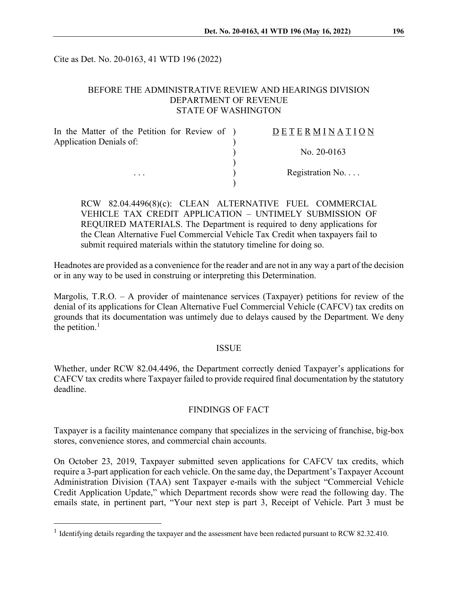Cite as Det. No. 20-0163, 41 WTD 196 (2022)

## BEFORE THE ADMINISTRATIVE REVIEW AND HEARINGS DIVISION DEPARTMENT OF REVENUE STATE OF WASHINGTON

| In the Matter of the Petition for Review of ) | DETERMINATION     |
|-----------------------------------------------|-------------------|
| Application Denials of:                       |                   |
|                                               | No. $20-0163$     |
|                                               |                   |
| $\cdots$                                      | Registration $No$ |
|                                               |                   |

RCW 82.04.4496(8)(c): CLEAN ALTERNATIVE FUEL COMMERCIAL VEHICLE TAX CREDIT APPLICATION – UNTIMELY SUBMISSION OF REQUIRED MATERIALS. The Department is required to deny applications for the Clean Alternative Fuel Commercial Vehicle Tax Credit when taxpayers fail to submit required materials within the statutory timeline for doing so.

Headnotes are provided as a convenience for the reader and are not in any way a part of the decision or in any way to be used in construing or interpreting this Determination.

Margolis, T.R.O. – A provider of maintenance services (Taxpayer) petitions for review of the denial of its applications for Clean Alternative Fuel Commercial Vehicle (CAFCV) tax credits on grounds that its documentation was untimely due to delays caused by the Department. We deny the petition. $<sup>1</sup>$  $<sup>1</sup>$  $<sup>1</sup>$ </sup>

## ISSUE

Whether, under RCW 82.04.4496, the Department correctly denied Taxpayer's applications for CAFCV tax credits where Taxpayer failed to provide required final documentation by the statutory deadline.

# FINDINGS OF FACT

Taxpayer is a facility maintenance company that specializes in the servicing of franchise, big-box stores, convenience stores, and commercial chain accounts.

On October 23, 2019, Taxpayer submitted seven applications for CAFCV tax credits, which require a 3-part application for each vehicle. On the same day, the Department's Taxpayer Account Administration Division (TAA) sent Taxpayer e-mails with the subject "Commercial Vehicle Credit Application Update," which Department records show were read the following day. The emails state, in pertinent part, "Your next step is part 3, Receipt of Vehicle. Part 3 must be

<span id="page-0-0"></span><sup>&</sup>lt;sup>1</sup> Identifying details regarding the taxpayer and the assessment have been redacted pursuant to RCW 82.32.410.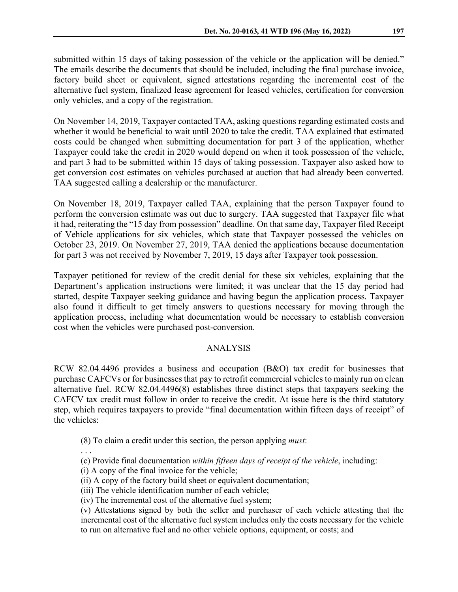submitted within 15 days of taking possession of the vehicle or the application will be denied." The emails describe the documents that should be included, including the final purchase invoice, factory build sheet or equivalent, signed attestations regarding the incremental cost of the alternative fuel system, finalized lease agreement for leased vehicles, certification for conversion only vehicles, and a copy of the registration.

On November 14, 2019, Taxpayer contacted TAA, asking questions regarding estimated costs and whether it would be beneficial to wait until 2020 to take the credit. TAA explained that estimated costs could be changed when submitting documentation for part 3 of the application, whether Taxpayer could take the credit in 2020 would depend on when it took possession of the vehicle, and part 3 had to be submitted within 15 days of taking possession. Taxpayer also asked how to get conversion cost estimates on vehicles purchased at auction that had already been converted. TAA suggested calling a dealership or the manufacturer.

On November 18, 2019, Taxpayer called TAA, explaining that the person Taxpayer found to perform the conversion estimate was out due to surgery. TAA suggested that Taxpayer file what it had, reiterating the "15 day from possession" deadline. On that same day, Taxpayer filed Receipt of Vehicle applications for six vehicles, which state that Taxpayer possessed the vehicles on October 23, 2019. On November 27, 2019, TAA denied the applications because documentation for part 3 was not received by November 7, 2019, 15 days after Taxpayer took possession.

Taxpayer petitioned for review of the credit denial for these six vehicles, explaining that the Department's application instructions were limited; it was unclear that the 15 day period had started, despite Taxpayer seeking guidance and having begun the application process. Taxpayer also found it difficult to get timely answers to questions necessary for moving through the application process, including what documentation would be necessary to establish conversion cost when the vehicles were purchased post-conversion.

### ANALYSIS

RCW 82.04.4496 provides a business and occupation (B&O) tax credit for businesses that purchase CAFCVs or for businesses that pay to retrofit commercial vehicles to mainly run on clean alternative fuel. RCW 82.04.4496(8) establishes three distinct steps that taxpayers seeking the CAFCV tax credit must follow in order to receive the credit. At issue here is the third statutory step, which requires taxpayers to provide "final documentation within fifteen days of receipt" of the vehicles:

(8) To claim a credit under this section, the person applying *must*:

. . .

- (c) Provide final documentation *within fifteen days of receipt of the vehicle*, including:
- (i) A copy of the final invoice for the vehicle;
- (ii) A copy of the factory build sheet or equivalent documentation;
- (iii) The vehicle identification number of each vehicle;
- (iv) The incremental cost of the alternative fuel system;

(v) Attestations signed by both the seller and purchaser of each vehicle attesting that the incremental cost of the alternative fuel system includes only the costs necessary for the vehicle to run on alternative fuel and no other vehicle options, equipment, or costs; and